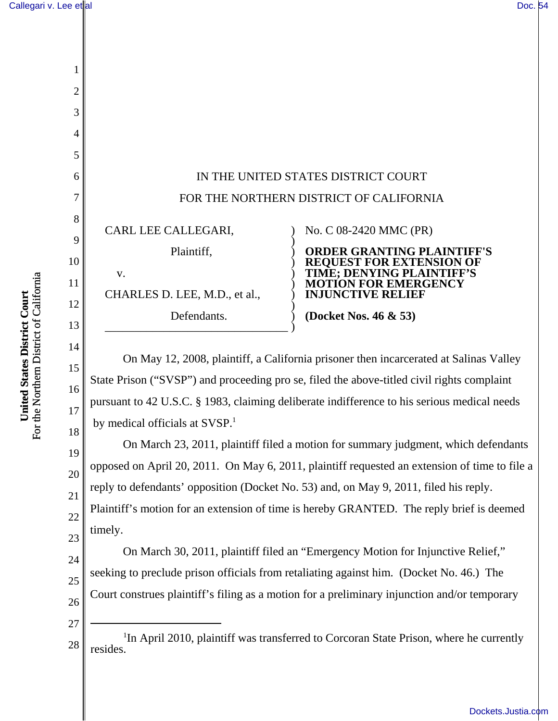

On May 12, 2008, plaintiff, a California prisoner then incarcerated at Salinas Valley State Prison ("SVSP") and proceeding pro se, filed the above-titled civil rights complaint pursuant to 42 U.S.C. § 1983, claiming deliberate indifference to his serious medical needs by medical officials at SVSP.<sup>1</sup>

On March 23, 2011, plaintiff filed a motion for summary judgment, which defendants opposed on April 20, 2011. On May 6, 2011, plaintiff requested an extension of time to file a reply to defendants' opposition (Docket No. 53) and, on May 9, 2011, filed his reply. Plaintiff's motion for an extension of time is hereby GRANTED. The reply brief is deemed timely.

24 25 26 On March 30, 2011, plaintiff filed an "Emergency Motion for Injunctive Relief," seeking to preclude prison officials from retaliating against him. (Docket No. 46.) The Court construes plaintiff's filing as a motion for a preliminary injunction and/or temporary

- 27
- 28 <sup>1</sup>In April 2010, plaintiff was transferred to Corcoran State Prison, where he currently resides.

15

16

17

18

19

20

21

22

23